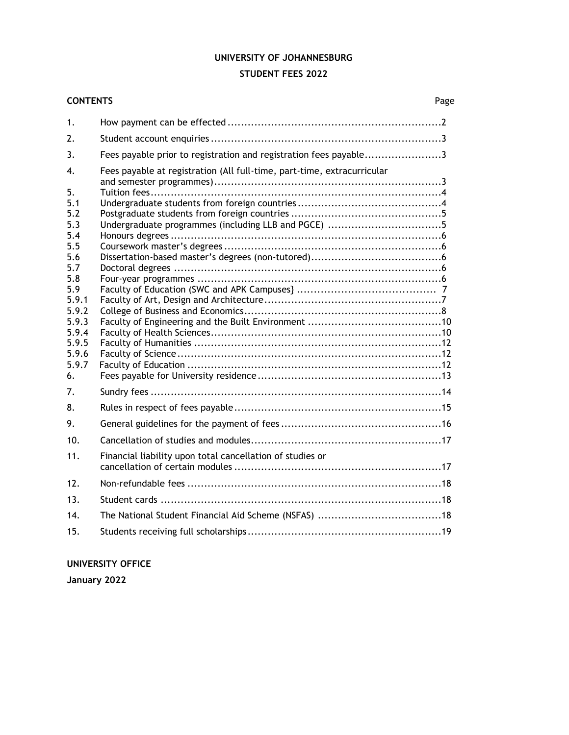### **UNIVERSITY OF JOHANNESBURG**

# **STUDENT FEES 2022**

# **CONTENTS** Page

| 1.                                              |                                                                         |  |
|-------------------------------------------------|-------------------------------------------------------------------------|--|
| 2.                                              |                                                                         |  |
| 3.                                              | Fees payable prior to registration and registration fees payable3       |  |
| 4.                                              | Fees payable at registration (All full-time, part-time, extracurricular |  |
| 5.<br>5.1<br>5.2<br>5.3<br>5.4                  |                                                                         |  |
| 5.5<br>5.6<br>5.7                               |                                                                         |  |
| 5.8<br>5.9<br>5.9.1<br>5.9.2                    |                                                                         |  |
| 5.9.3<br>5.9.4<br>5.9.5<br>5.9.6<br>5.9.7<br>6. |                                                                         |  |
| 7.                                              |                                                                         |  |
| 8.                                              |                                                                         |  |
| 9.                                              |                                                                         |  |
| 10.                                             |                                                                         |  |
| 11.                                             | Financial liability upon total cancellation of studies or               |  |
| 12.                                             |                                                                         |  |
| 13.                                             |                                                                         |  |
| 14.                                             |                                                                         |  |
| 15.                                             |                                                                         |  |
|                                                 |                                                                         |  |

# **UNIVERSITY OFFICE**

**January 2022**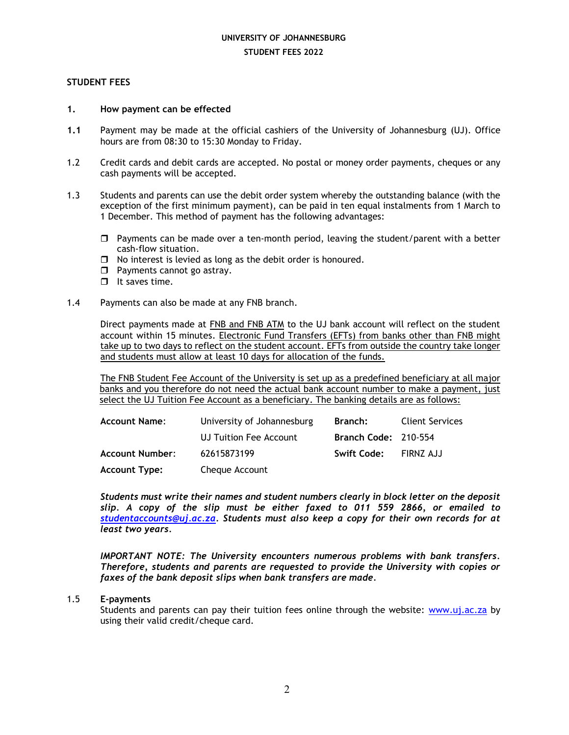### **STUDENT FEES**

### **1. How payment can be effected**

- **1.1** Payment may be made at the official cashiers of the University of Johannesburg (UJ). Office hours are from 08:30 to 15:30 Monday to Friday.
- 1.2 Credit cards and debit cards are accepted. No postal or money order payments, cheques or any cash payments will be accepted.
- 1.3 Students and parents can use the debit order system whereby the outstanding balance (with the exception of the first minimum payment), can be paid in ten equal instalments from 1 March to 1 December. This method of payment has the following advantages:
	- $\Box$  Payments can be made over a ten-month period, leaving the student/parent with a better cash-flow situation.
	- $\Box$  No interest is levied as long as the debit order is honoured.
	- $\Box$  Payments cannot go astray.
	- $\Box$  It saves time.
- 1.4 Payments can also be made at any FNB branch.

Direct payments made at FNB and FNB ATM to the UJ bank account will reflect on the student account within 15 minutes. Electronic Fund Transfers (EFTs) from banks other than FNB might take up to two days to reflect on the student account. EFTs from outside the country take longer and students must allow at least 10 days for allocation of the funds.

The FNB Student Fee Account of the University is set up as a predefined beneficiary at all major banks and you therefore do not need the actual bank account number to make a payment, just select the UJ Tuition Fee Account as a beneficiary. The banking details are as follows:

| <b>Account Name:</b>   | University of Johannesburg | Branch:                     | <b>Client Services</b> |
|------------------------|----------------------------|-----------------------------|------------------------|
|                        | UJ Tuition Fee Account     | <b>Branch Code: 210-554</b> |                        |
| <b>Account Number:</b> | 62615873199                | Swift Code:                 | FIRNZ AJJ              |
| <b>Account Type:</b>   | Cheque Account             |                             |                        |

*Students must write their names and student numbers clearly in block letter on the deposit slip. A copy of the slip must be either faxed to 011 559 2866, or emailed to [studentaccounts@uj.ac.za.](mailto:studentaccounts@uj.ac.za) Students must also keep a copy for their own records for at least two years.*

*IMPORTANT NOTE: The University encounters numerous problems with bank transfers. Therefore, students and parents are requested to provide the University with copies or faxes of the bank deposit slips when bank transfers are made.*

### 1.5 **E-payments**

Students and parents can pay their tuition fees online through the website: [www.uj.ac.za](http://www.uj.ac.za/) by using their valid credit/cheque card.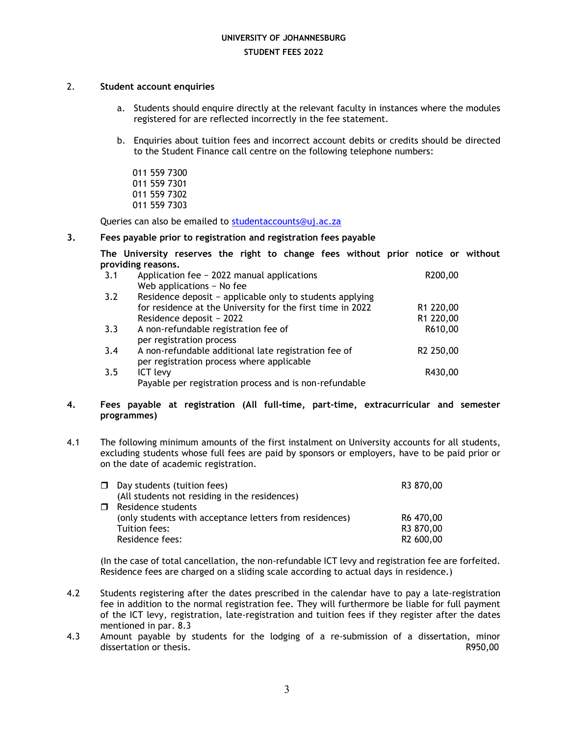### 2. **Student account enquiries**

- a. Students should enquire directly at the relevant faculty in instances where the modules registered for are reflected incorrectly in the fee statement.
- b. Enquiries about tuition fees and incorrect account debits or credits should be directed to the Student Finance call centre on the following telephone numbers:
	- 011 559 7300 011 559 7301 011 559 7302 011 559 7303

Queries can also be emailed to [studentaccounts@uj.ac.za](mailto:studentaccounts@uj.ac.za)

### **3. Fees payable prior to registration and registration fees payable**

**The University reserves the right to change fees without prior notice or without providing reasons.**

| 3.1 | Application fee - 2022 manual applications                 | R200,00   |
|-----|------------------------------------------------------------|-----------|
|     | Web applications - No fee                                  |           |
| 3.2 | Residence deposit - applicable only to students applying   |           |
|     | for residence at the University for the first time in 2022 | R1 220,00 |
|     | Residence deposit - 2022                                   | R1 220,00 |
| 3.3 | A non-refundable registration fee of                       | R610,00   |
|     | per registration process                                   |           |
| 3.4 | A non-refundable additional late registration fee of       | R2 250,00 |
|     | per registration process where applicable                  |           |
| 3.5 | ICT levy                                                   | R430,00   |
|     | Payable per registration process and is non-refundable     |           |
|     |                                                            |           |

### **4. Fees payable at registration (All full-time, part-time, extracurricular and semester programmes)**

4.1 The following minimum amounts of the first instalment on University accounts for all students, excluding students whose full fees are paid by sponsors or employers, have to be paid prior or on the date of academic registration.

| $\Box$ Day students (tuition fees)                      | R3 870,00 |
|---------------------------------------------------------|-----------|
| (All students not residing in the residences)           |           |
| □ Residence students                                    |           |
| (only students with acceptance letters from residences) | R6 470,00 |
| Tuition fees:                                           | R3 870,00 |
| Residence fees:                                         | R2 600,00 |

(In the case of total cancellation, the non-refundable ICT levy and registration fee are forfeited. Residence fees are charged on a sliding scale according to actual days in residence.)

- 4.2 Students registering after the dates prescribed in the calendar have to pay a late-registration fee in addition to the normal registration fee. They will furthermore be liable for full payment of the ICT levy, registration, late-registration and tuition fees if they register after the dates mentioned in par. 8.3
- 4.3 Amount payable by students for the lodging of a re-submission of a dissertation, minor dissertation or thesis. The control of the control of the control of the control of the control of the control of the control of the control of the control of the control of the control of the control of the control of the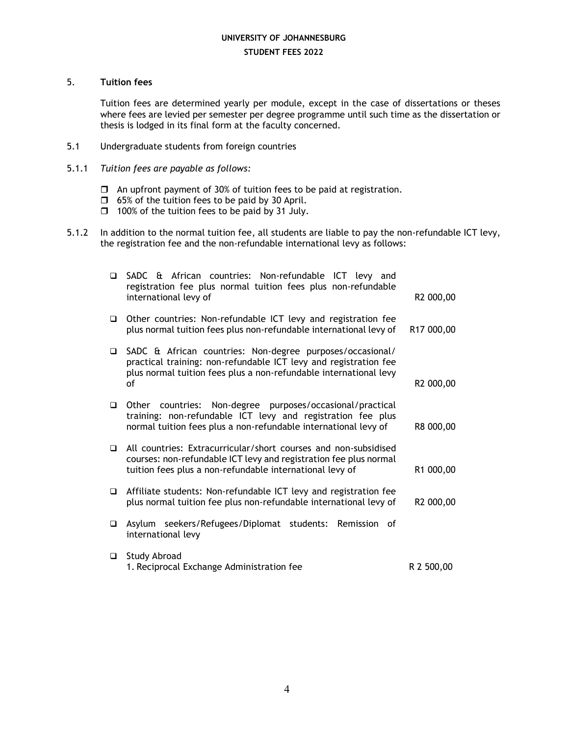### 5. **Tuition fees**

Tuition fees are determined yearly per module, except in the case of dissertations or theses where fees are levied per semester per degree programme until such time as the dissertation or thesis is lodged in its final form at the faculty concerned.

- 5.1 Undergraduate students from foreign countries
- 5.1.1 *Tuition fees are payable as follows:*
	- $\Box$  An upfront payment of 30% of tuition fees to be paid at registration.
	- $\Box$  65% of the tuition fees to be paid by 30 April.
	- $\Box$  100% of the tuition fees to be paid by 31 July.
- 5.1.2 In addition to the normal tuition fee, all students are liable to pay the non-refundable ICT levy, the registration fee and the non-refundable international levy as follows:

| ◻      | SADC & African countries: Non-refundable ICT levy and<br>registration fee plus normal tuition fees plus non-refundable<br>international levy of                                                          | R2 000,00  |
|--------|----------------------------------------------------------------------------------------------------------------------------------------------------------------------------------------------------------|------------|
| $\Box$ | Other countries: Non-refundable ICT levy and registration fee<br>plus normal tuition fees plus non-refundable international levy of                                                                      | R17 000,00 |
| $\Box$ | SADC & African countries: Non-degree purposes/occasional/<br>practical training: non-refundable ICT levy and registration fee<br>plus normal tuition fees plus a non-refundable international levy<br>οf | R2 000,00  |
| $\Box$ | Other countries: Non-degree purposes/occasional/practical<br>training: non-refundable ICT levy and registration fee plus<br>normal tuition fees plus a non-refundable international levy of              | R8 000,00  |
| $\Box$ | All countries: Extracurricular/short courses and non-subsidised<br>courses: non-refundable ICT levy and registration fee plus normal<br>tuition fees plus a non-refundable international levy of         | R1 000,00  |
| $\Box$ | Affiliate students: Non-refundable ICT levy and registration fee<br>plus normal tuition fee plus non-refundable international levy of                                                                    | R2 000,00  |
| $\Box$ | Asylum seekers/Refugees/Diplomat students: Remission of<br>international levy                                                                                                                            |            |
| □      | Study Abroad<br>1. Reciprocal Exchange Administration fee                                                                                                                                                | R 2 500,00 |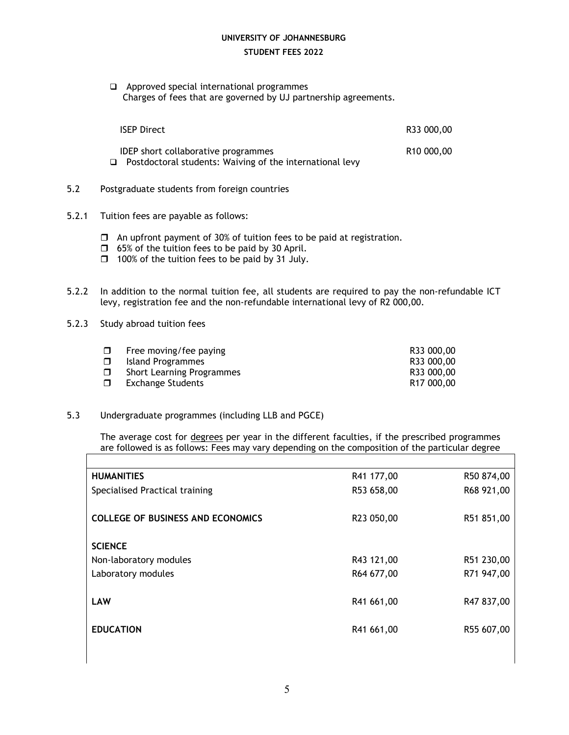Approved special international programmes Charges of fees that are governed by UJ partnership agreements.

| <b>ISEP Direct</b>                                                                                     | R33 000,00             |
|--------------------------------------------------------------------------------------------------------|------------------------|
| <b>IDEP</b> short collaborative programmes<br>Postdoctoral students: Waiving of the international levy | R <sub>10</sub> 000,00 |

- 5.2 Postgraduate students from foreign countries
- 5.2.1 Tuition fees are payable as follows:
	- $\Box$  An upfront payment of 30% of tuition fees to be paid at registration.
	- $\Box$  65% of the tuition fees to be paid by 30 April.
	- $\Box$  100% of the tuition fees to be paid by 31 July.
- 5.2.2 In addition to the normal tuition fee, all students are required to pay the non-refundable ICT levy, registration fee and the non-refundable international levy of R2 000,00.
- 5.2.3 Study abroad tuition fees

|    | $\Box$ Free moving/fee paying | R33 000,00             |
|----|-------------------------------|------------------------|
|    | $\Box$ Island Programmes      | R33 000,00             |
| □  | Short Learning Programmes     | R33 000,00             |
| Ω. | Exchange Students             | R <sub>17</sub> 000,00 |
|    |                               |                        |

5.3 Undergraduate programmes (including LLB and PGCE)

The average cost for degrees per year in the different faculties, if the prescribed programmes are followed is as follows: Fees may vary depending on the composition of the particular degree

| <b>HUMANITIES</b>                        | R41 177,00 | R50 874,00 |
|------------------------------------------|------------|------------|
| Specialised Practical training           | R53 658,00 | R68 921,00 |
|                                          |            |            |
| <b>COLLEGE OF BUSINESS AND ECONOMICS</b> | R23 050,00 | R51 851,00 |
|                                          |            |            |
| <b>SCIENCE</b>                           |            |            |
| Non-laboratory modules                   | R43 121,00 | R51 230,00 |
| Laboratory modules                       | R64 677,00 | R71 947,00 |
|                                          |            |            |
| <b>LAW</b>                               | R41 661,00 | R47 837,00 |
|                                          |            |            |
| <b>EDUCATION</b>                         | R41 661,00 | R55 607,00 |
|                                          |            |            |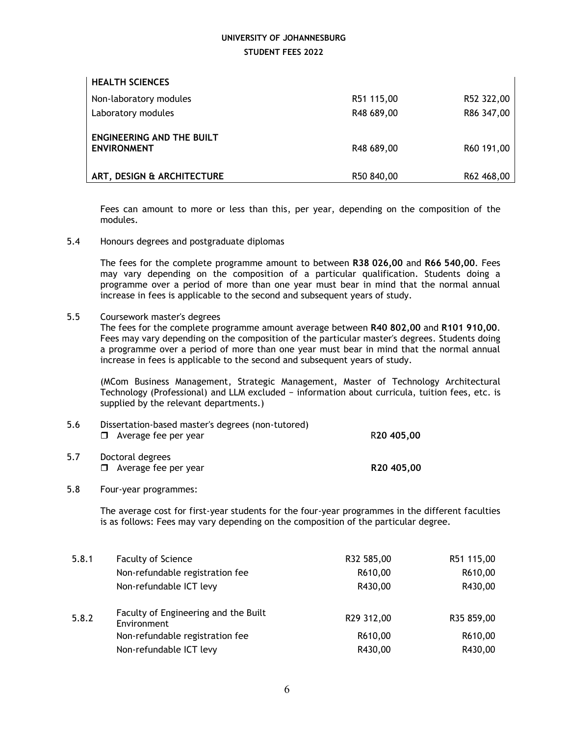| <b>HEALTH SCIENCES</b>                                 |            |            |
|--------------------------------------------------------|------------|------------|
| Non-laboratory modules                                 | R51 115,00 | R52 322,00 |
| Laboratory modules                                     | R48 689,00 | R86 347,00 |
| <b>ENGINEERING AND THE BUILT</b><br><b>ENVIRONMENT</b> | R48 689,00 | R60 191,00 |
| ART, DESIGN & ARCHITECTURE                             | R50 840,00 | R62 468,00 |
|                                                        |            |            |

Fees can amount to more or less than this, per year, depending on the composition of the modules.

5.4 Honours degrees and postgraduate diplomas

The fees for the complete programme amount to between **R38 026,00** and **R66 540,00**. Fees may vary depending on the composition of a particular qualification. Students doing a programme over a period of more than one year must bear in mind that the normal annual increase in fees is applicable to the second and subsequent years of study.

5.5 Coursework master's degrees

The fees for the complete programme amount average between **R40 802,00** and **R101 910,00**. Fees may vary depending on the composition of the particular master's degrees. Students doing a programme over a period of more than one year must bear in mind that the normal annual increase in fees is applicable to the second and subsequent years of study.

(MCom Business Management, Strategic Management, Master of Technology Architectural Technology (Professional) and LLM excluded − information about curricula, tuition fees, etc. is supplied by the relevant departments.)

| 5.6 | Dissertation-based master's degrees (non-tutored)<br>$\Box$ Average fee per year | R <sub>20</sub> 405,00 |
|-----|----------------------------------------------------------------------------------|------------------------|
| 5.7 | Doctoral degrees<br>$\Box$ Average fee per year                                  | R <sub>20</sub> 405,00 |

### 5.8 Four-year programmes:

The average cost for first-year students for the four-year programmes in the different faculties is as follows: Fees may vary depending on the composition of the particular degree.

| 5.8.1 | <b>Faculty of Science</b>                           | R32 585,00 | R51 115,00 |
|-------|-----------------------------------------------------|------------|------------|
|       | Non-refundable registration fee                     | R610,00    | R610,00    |
|       | Non-refundable ICT levy                             | R430,00    | R430,00    |
| 5.8.2 | Faculty of Engineering and the Built<br>Environment | R29 312,00 | R35 859,00 |
|       | Non-refundable registration fee                     | R610,00    | R610,00    |
|       | Non-refundable ICT levy                             | R430,00    | R430,00    |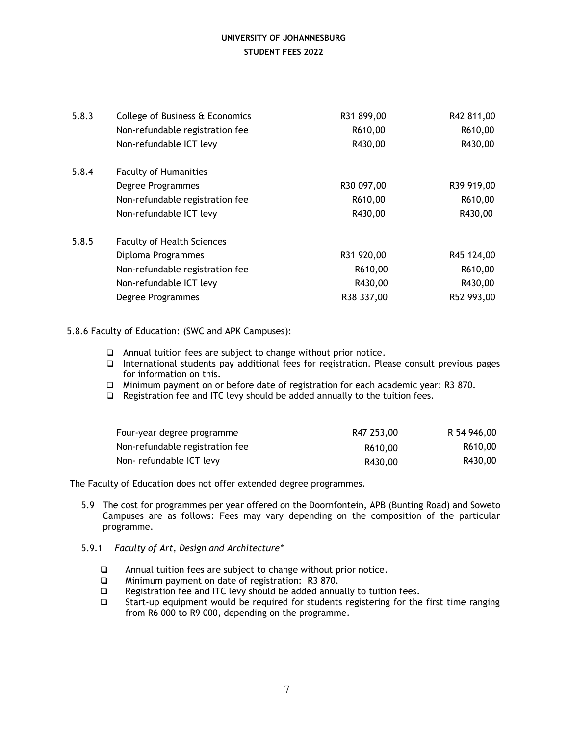| 5.8.3 | College of Business & Economics   | R31 899,00 | R42 811,00 |
|-------|-----------------------------------|------------|------------|
|       | Non-refundable registration fee   | R610,00    | R610,00    |
|       | Non-refundable ICT levy           | R430,00    | R430,00    |
| 5.8.4 | <b>Faculty of Humanities</b>      |            |            |
|       | Degree Programmes                 | R30 097,00 | R39 919,00 |
|       | Non-refundable registration fee   | R610,00    | R610,00    |
|       | Non-refundable ICT levy           | R430,00    | R430,00    |
| 5.8.5 | <b>Faculty of Health Sciences</b> |            |            |
|       | Diploma Programmes                | R31 920,00 | R45 124,00 |
|       | Non-refundable registration fee   | R610,00    | R610,00    |
|       | Non-refundable ICT levy           | R430,00    | R430,00    |
|       | Degree Programmes                 | R38 337,00 | R52 993,00 |

### 5.8.6 Faculty of Education: (SWC and APK Campuses):

- Annual tuition fees are subject to change without prior notice.
- $\Box$  International students pay additional fees for registration. Please consult previous pages for information on this.
- Minimum payment on or before date of registration for each academic year: R3 870.
- $\Box$  Registration fee and ITC levy should be added annually to the tuition fees.

| Four-year degree programme      | R47 253,00 | R 54 946,00 |
|---------------------------------|------------|-------------|
| Non-refundable registration fee | R610,00    | R610,00     |
| Non-refundable ICT levy         | R430,00    | R430,00     |

The Faculty of Education does not offer extended degree programmes.

- 5.9 The cost for programmes per year offered on the Doornfontein, APB (Bunting Road) and Soweto Campuses are as follows: Fees may vary depending on the composition of the particular programme.
- 5.9.1 *Faculty of Art, Design and Architecture\**
	- Annual tuition fees are subject to change without prior notice.
	- Minimum payment on date of registration: R3 870.
	- □ Registration fee and ITC levy should be added annually to tuition fees.
	- $\square$  Start-up equipment would be required for students registering for the first time ranging from R6 000 to R9 000, depending on the programme.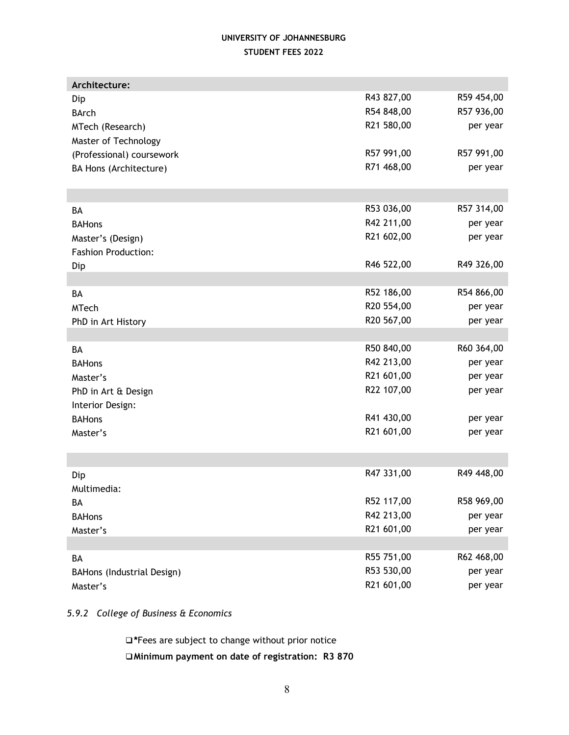| Architecture:              |            |            |
|----------------------------|------------|------------|
| Dip                        | R43 827,00 | R59 454,00 |
| <b>BArch</b>               | R54 848,00 | R57 936,00 |
| MTech (Research)           | R21 580,00 | per year   |
| Master of Technology       |            |            |
| (Professional) coursework  | R57 991,00 | R57 991,00 |
| BA Hons (Architecture)     | R71 468,00 | per year   |
|                            |            |            |
|                            |            |            |
| BA                         | R53 036,00 | R57 314,00 |
| <b>BAHons</b>              | R42 211,00 | per year   |
| Master's (Design)          | R21 602,00 | per year   |
| <b>Fashion Production:</b> |            |            |
| Dip                        | R46 522,00 | R49 326,00 |
|                            |            |            |
| BA                         | R52 186,00 | R54 866,00 |
| <b>MTech</b>               | R20 554,00 | per year   |
| PhD in Art History         | R20 567,00 | per year   |
|                            |            |            |
| BA                         | R50 840,00 | R60 364,00 |
| <b>BAHons</b>              | R42 213,00 | per year   |
| Master's                   | R21 601,00 | per year   |
| PhD in Art & Design        | R22 107,00 | per year   |
| Interior Design:           |            |            |
| <b>BAHons</b>              | R41 430,00 | per year   |
| Master's                   | R21 601,00 | per year   |
|                            |            |            |
|                            |            |            |
| Dip                        | R47 331,00 | R49 448,00 |
| Multimedia:                |            |            |
| BА                         | R52 117,00 | R58 969,00 |
| <b>BAHons</b>              | R42 213,00 | per year   |
| Master's                   | R21 601,00 | per year   |
|                            |            |            |
| BA                         | R55 751,00 | R62 468,00 |
| BAHons (Industrial Design) | R53 530,00 | per year   |
| Master's                   | R21 601,00 | per year   |

*5.9.2 College of Business & Economics*

**\***Fees are subject to change without prior notice **Minimum payment on date of registration: R3 870**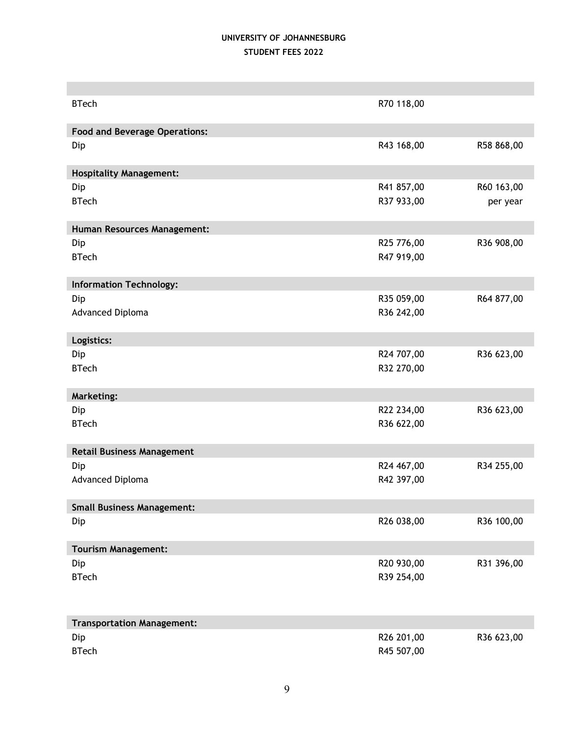| <b>BTech</b>                         | R70 118,00 |            |  |
|--------------------------------------|------------|------------|--|
|                                      |            |            |  |
| <b>Food and Beverage Operations:</b> |            |            |  |
| Dip                                  | R43 168,00 | R58 868,00 |  |
| <b>Hospitality Management:</b>       |            |            |  |
| Dip                                  | R41 857,00 | R60 163,00 |  |
| <b>BTech</b>                         | R37 933,00 | per year   |  |
| Human Resources Management:          |            |            |  |
| Dip                                  | R25 776,00 | R36 908,00 |  |
| <b>BTech</b>                         | R47 919,00 |            |  |
|                                      |            |            |  |
| <b>Information Technology:</b>       |            |            |  |
| Dip                                  | R35 059,00 | R64 877,00 |  |
| Advanced Diploma                     | R36 242,00 |            |  |
|                                      |            |            |  |
| Logistics:                           |            |            |  |
| Dip                                  | R24 707,00 | R36 623,00 |  |
| <b>BTech</b>                         | R32 270,00 |            |  |
|                                      |            |            |  |
| <b>Marketing:</b>                    |            |            |  |
| Dip                                  | R22 234,00 | R36 623,00 |  |
| <b>BTech</b>                         | R36 622,00 |            |  |
|                                      |            |            |  |
| <b>Retail Business Management</b>    |            |            |  |
| Dip                                  | R24 467,00 | R34 255,00 |  |
| Advanced Diploma                     | R42 397,00 |            |  |
|                                      |            |            |  |
| <b>Small Business Management:</b>    |            |            |  |
| Dip                                  | R26 038,00 | R36 100,00 |  |
|                                      |            |            |  |
| <b>Tourism Management:</b>           |            |            |  |
| Dip                                  | R20 930,00 | R31 396,00 |  |
| <b>BTech</b>                         | R39 254,00 |            |  |
|                                      |            |            |  |
|                                      |            |            |  |
| <b>Transportation Management:</b>    |            |            |  |
| Dip                                  | R26 201,00 | R36 623,00 |  |
| <b>BTech</b>                         | R45 507,00 |            |  |
|                                      |            |            |  |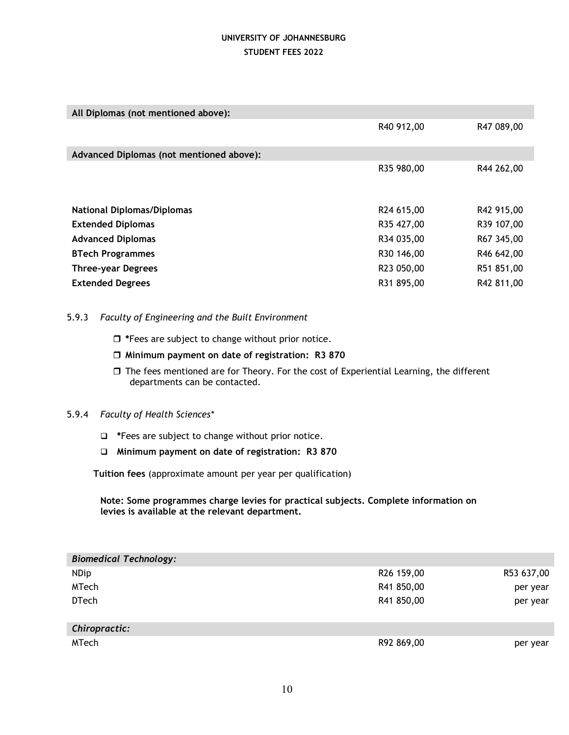| All Diplomas (not mentioned above):      |            |            |  |  |
|------------------------------------------|------------|------------|--|--|
|                                          | R40 912,00 | R47 089,00 |  |  |
| Advanced Diplomas (not mentioned above): |            |            |  |  |
|                                          | R35 980,00 | R44 262,00 |  |  |
|                                          |            |            |  |  |
| <b>National Diplomas/Diplomas</b>        | R24 615,00 | R42 915,00 |  |  |
| <b>Extended Diplomas</b>                 | R35 427,00 | R39 107,00 |  |  |
| <b>Advanced Diplomas</b>                 | R34 035,00 | R67 345,00 |  |  |
| <b>BTech Programmes</b>                  | R30 146,00 | R46 642,00 |  |  |
| <b>Three-year Degrees</b>                | R23 050,00 | R51 851,00 |  |  |
| <b>Extended Degrees</b>                  | R31 895,00 | R42 811,00 |  |  |

### 5.9.3 *Faculty of Engineering and the Built Environment*

- **\***Fees are subject to change without prior notice.
- **Minimum payment on date of registration: R3 870**
- $\Box$  The fees mentioned are for Theory. For the cost of Experiential Learning, the different departments can be contacted.

### 5.9.4 *Faculty of Health Sciences\**

- $\Box$  \*Fees are subject to change without prior notice.
- **Minimum payment on date of registration: R3 870**

 **Tuition fees** (approximate amount per year per qualification)

**Note: Some programmes charge levies for practical subjects. Complete information on levies is available at the relevant department.**

| <b>Biomedical Technology:</b> |                        |            |
|-------------------------------|------------------------|------------|
| <b>NDip</b>                   | R <sub>26</sub> 159,00 | R53 637,00 |
| <b>MTech</b>                  | R41 850,00             | per year   |
| <b>DTech</b>                  | R41 850,00             | per year   |
|                               |                        |            |
| Chiropractic:                 |                        |            |
| MTech                         | R92 869,00             | per year   |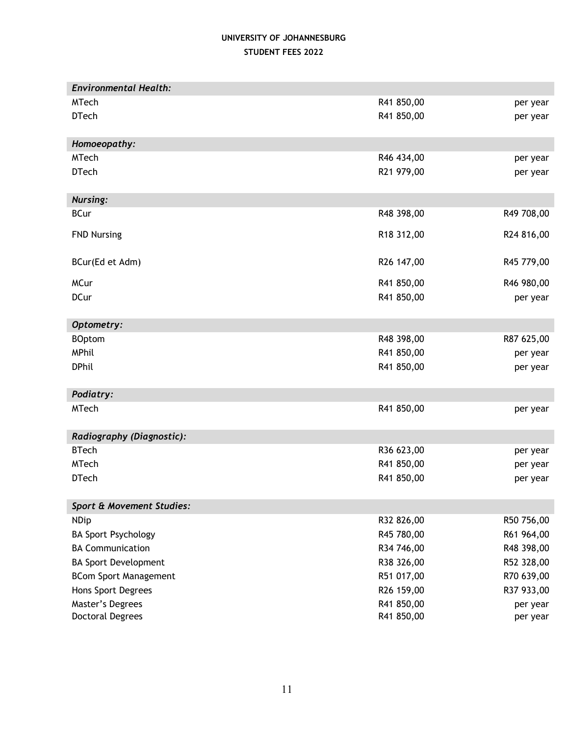| <b>Environmental Health:</b> |            |            |
|------------------------------|------------|------------|
| <b>MTech</b>                 | R41 850,00 | per year   |
| <b>DTech</b>                 | R41 850,00 | per year   |
|                              |            |            |
| Homoeopathy:                 |            |            |
| <b>MTech</b>                 | R46 434,00 | per year   |
| <b>DTech</b>                 | R21 979,00 | per year   |
|                              |            |            |
| <b>Nursing:</b>              |            |            |
| <b>BCur</b>                  | R48 398,00 | R49 708,00 |
| <b>FND Nursing</b>           | R18 312,00 | R24 816,00 |
|                              |            |            |
| BCur(Ed et Adm)              | R26 147,00 | R45 779,00 |
|                              |            |            |
| <b>MCur</b>                  | R41 850,00 | R46 980,00 |
| <b>DCur</b>                  | R41 850,00 | per year   |
|                              |            |            |
| Optometry:                   |            |            |
| <b>BOptom</b>                | R48 398,00 | R87 625,00 |
| MPhil                        | R41 850,00 | per year   |
| <b>DPhil</b>                 | R41 850,00 | per year   |
| Podiatry:                    |            |            |
| <b>MTech</b>                 | R41 850,00 | per year   |
|                              |            |            |
| Radiography (Diagnostic):    |            |            |
| <b>BTech</b>                 | R36 623,00 | per year   |
| <b>MTech</b>                 | R41 850,00 | per year   |
| <b>DTech</b>                 | R41 850,00 | per year   |
|                              |            |            |
| Sport & Movement Studies:    |            |            |
| <b>NDip</b>                  | R32 826,00 | R50 756,00 |
| <b>BA Sport Psychology</b>   | R45 780,00 | R61 964,00 |
| <b>BA Communication</b>      | R34 746,00 | R48 398,00 |
| <b>BA Sport Development</b>  | R38 326,00 | R52 328,00 |
| <b>BCom Sport Management</b> | R51 017,00 | R70 639,00 |
| Hons Sport Degrees           | R26 159,00 | R37 933,00 |
| Master's Degrees             | R41 850,00 | per year   |
| <b>Doctoral Degrees</b>      | R41 850,00 | per year   |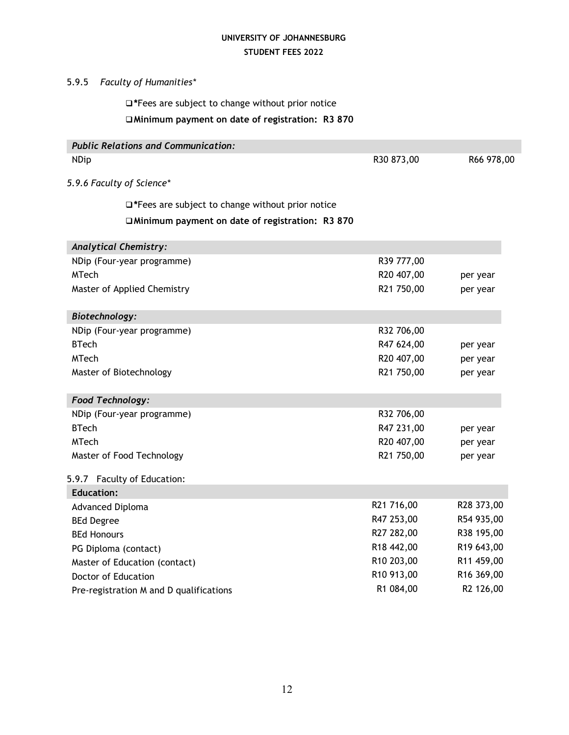## 5.9.5 *Faculty of Humanities\**

**\***Fees are subject to change without prior notice

# **Minimum payment on date of registration: R3 870**

| <b>Public Relations and Communication:</b>              |            |            |
|---------------------------------------------------------|------------|------------|
| <b>NDip</b>                                             | R30 873,00 | R66 978,00 |
| 5.9.6 Faculty of Science*                               |            |            |
| $\Box$ *Fees are subject to change without prior notice |            |            |
| □Minimum payment on date of registration: R3 870        |            |            |
| <b>Analytical Chemistry:</b>                            |            |            |
| NDip (Four-year programme)                              | R39 777,00 |            |
| <b>MTech</b>                                            | R20 407,00 | per year   |
| Master of Applied Chemistry                             | R21 750,00 | per year   |
| Biotechnology:                                          |            |            |
| NDip (Four-year programme)                              | R32 706,00 |            |
| <b>BTech</b>                                            | R47 624,00 | per year   |
| <b>MTech</b>                                            | R20 407,00 | per year   |
| Master of Biotechnology                                 | R21 750,00 | per year   |
| <b>Food Technology:</b>                                 |            |            |
| NDip (Four-year programme)                              | R32 706,00 |            |
| <b>BTech</b>                                            | R47 231,00 | per year   |
| <b>MTech</b>                                            | R20 407,00 | per year   |
| Master of Food Technology                               | R21 750,00 | per year   |
| 5.9.7 Faculty of Education:                             |            |            |
| <b>Education:</b>                                       |            |            |
| Advanced Diploma                                        | R21 716,00 | R28 373,00 |
| <b>BEd Degree</b>                                       | R47 253,00 | R54 935,00 |
| <b>BEd Honours</b>                                      | R27 282,00 | R38 195,00 |
| PG Diploma (contact)                                    | R18 442,00 | R19 643,00 |
| Master of Education (contact)                           | R10 203,00 | R11 459,00 |
| Doctor of Education                                     | R10 913,00 | R16 369,00 |
| Pre-registration M and D qualifications                 | R1 084,00  | R2 126,00  |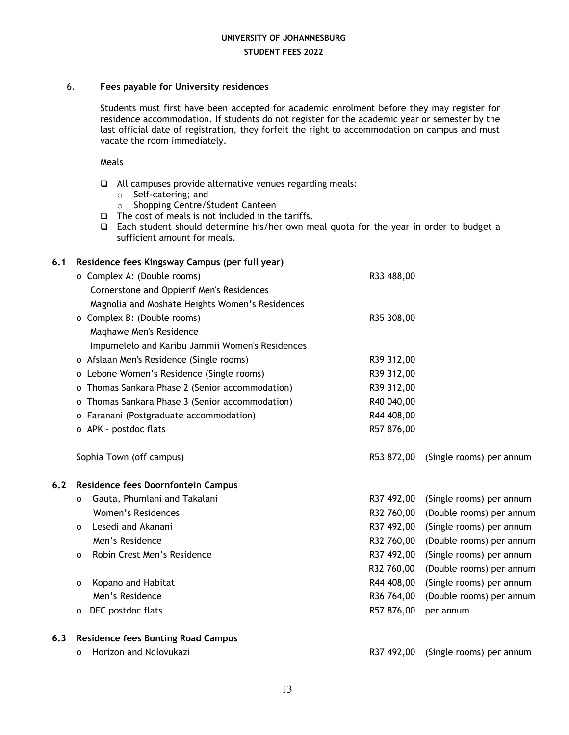### 6. **Fees payable for University residences**

Students must first have been accepted for academic enrolment before they may register for residence accommodation. If students do not register for the academic year or semester by the last official date of registration, they forfeit the right to accommodation on campus and must vacate the room immediately.

Meals

- $\Box$  All campuses provide alternative venues regarding meals:
	- o Self-catering; and
	- o Shopping Centre/Student Canteen
- $\Box$  The cost of meals is not included in the tariffs.
- $\Box$  Each student should determine his/her own meal quota for the year in order to budget a sufficient amount for meals.

# **6.1 Residence fees Kingsway Campus (per full year)** o Complex A: (Double rooms) R33 488,00 Cornerstone and Oppierif Men's Residences Magnolia and Moshate Heights Women's Residences o Complex B: (Double rooms) R35 308,00 Maqhawe Men's Residence Impumelelo and Karibu Jammii Women's Residences o Afslaan Men's Residence (Single rooms) R39 312,00 o Lebone Women's Residence (Single rooms) R39 312,00 o Thomas Sankara Phase 2 (Senior accommodation) R39 312,00 o Thomas Sankara Phase 3 (Senior accommodation) R40 040,00 o Faranani (Postgraduate accommodation) R44 408,00 o APK - postdoc flats R57 876,00 Sophia Town (off campus) R53 872,00 (Single rooms) per annum **6.2 Residence fees Doornfontein Campus** o Gauta, Phumlani and Takalani R37 492,00 (Single rooms) per annum Women's Residences R32 760,00 (Double rooms) per annum o Lesedi and Akanani R37 492,00 (Single rooms) per annum Men's Residence **Ranking Communist Communist Communist Communist Communist Communist Communist Communist Communist Communist Communist Communist Communist Communist Communist Communist Communist Communist Communist Communi** o Robin Crest Men's Residence **Ration Communist Communist Creation** R37 492,00 (Single rooms) per annum R32 760,00 (Double rooms) per annum o Kopano and Habitat R44 408,00 (Single rooms) per annum Men's Residence **R36 764,00** (Double rooms) per annum o DFC postdoc flats **R57 876,00** per annum **6.3 Residence fees Bunting Road Campus** o Horizon and Ndlovukazi R37 492,00 (Single rooms) per annum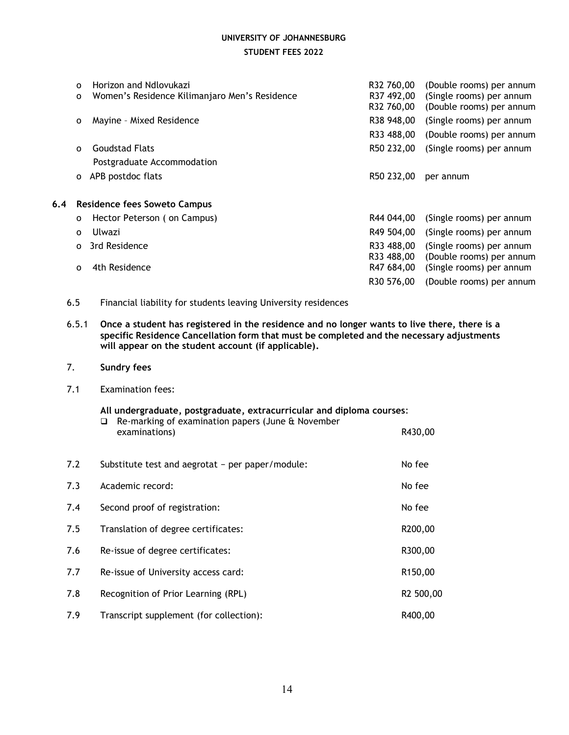|                                                                                                                                                                                                                                                           | O<br>o       | Horizon and Ndlovukazi<br>Women's Residence Kilimanjaro Men's Residence | R32 760,00<br>R37 492,00<br>R32 760,00 | (Double rooms) per annum<br>(Single rooms) per annum<br>(Double rooms) per annum |
|-----------------------------------------------------------------------------------------------------------------------------------------------------------------------------------------------------------------------------------------------------------|--------------|-------------------------------------------------------------------------|----------------------------------------|----------------------------------------------------------------------------------|
|                                                                                                                                                                                                                                                           | 0            | Mayine - Mixed Residence                                                | R38 948,00                             | (Single rooms) per annum                                                         |
|                                                                                                                                                                                                                                                           |              |                                                                         | R33 488,00                             | (Double rooms) per annum                                                         |
|                                                                                                                                                                                                                                                           | $\mathbf 0$  | <b>Goudstad Flats</b>                                                   | R50 232,00                             | (Single rooms) per annum                                                         |
|                                                                                                                                                                                                                                                           |              | Postgraduate Accommodation                                              |                                        |                                                                                  |
|                                                                                                                                                                                                                                                           | $\mathbf{o}$ | APB postdoc flats                                                       | R50 232,00                             | per annum                                                                        |
| 6.4                                                                                                                                                                                                                                                       |              | <b>Residence fees Soweto Campus</b>                                     |                                        |                                                                                  |
|                                                                                                                                                                                                                                                           | $\mathbf 0$  | Hector Peterson (on Campus)                                             | R44 044,00                             | (Single rooms) per annum                                                         |
|                                                                                                                                                                                                                                                           | $\Omega$     | Ulwazi                                                                  | R49 504,00                             | (Single rooms) per annum                                                         |
|                                                                                                                                                                                                                                                           | O            | 3rd Residence                                                           | R33 488,00<br>R33 488,00               | (Single rooms) per annum<br>(Double rooms) per annum                             |
|                                                                                                                                                                                                                                                           | $\Omega$     | 4th Residence                                                           | R47 684,00<br>R30 576,00               | (Single rooms) per annum<br>(Double rooms) per annum                             |
|                                                                                                                                                                                                                                                           | 6.5          | Financial liability for students leaving University residences          |                                        |                                                                                  |
| Once a student has registered in the residence and no longer wants to live there, there is a<br>6.5.1<br>specific Residence Cancellation form that must be completed and the necessary adjustments<br>will appear on the student account (if applicable). |              |                                                                         |                                        |                                                                                  |

- 7. **Sundry fees**
- 7.1 Examination fees:

#### **All undergraduate, postgraduate, extracurricular and diploma courses**:

|     | Re-marking of examination papers (June & November<br><b>□</b><br>examinations) | R430,00              |
|-----|--------------------------------------------------------------------------------|----------------------|
| 7.2 | Substitute test and aegrotat - per paper/module:                               | No fee               |
| 7.3 | Academic record:                                                               | No fee               |
| 7.4 | Second proof of registration:                                                  | No fee               |
| 7.5 | Translation of degree certificates:                                            | R200,00              |
| 7.6 | Re-issue of degree certificates:                                               | R300,00              |
| 7.7 | Re-issue of University access card:                                            | R <sub>150</sub> ,00 |
| 7.8 | Recognition of Prior Learning (RPL)                                            | R2 500,00            |
| 7.9 | Transcript supplement (for collection):                                        | R400,00              |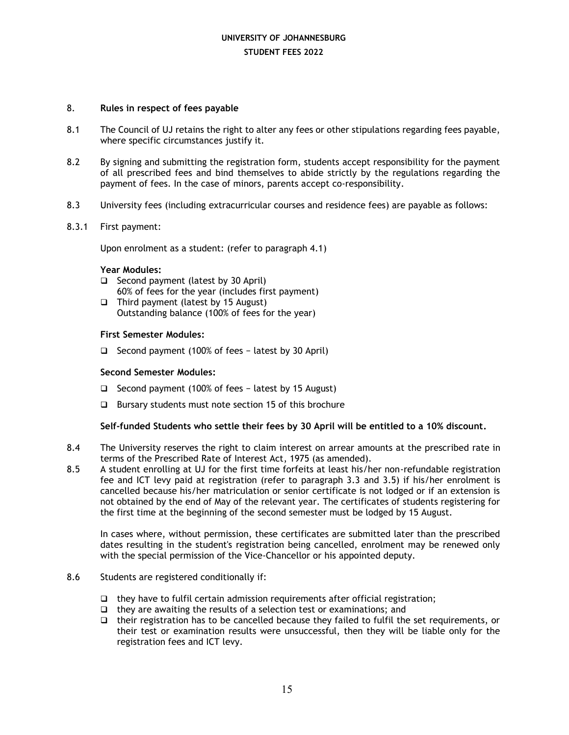### 8. **Rules in respect of fees payable**

- 8.1 The Council of UJ retains the right to alter any fees or other stipulations regarding fees payable, where specific circumstances justify it.
- 8.2 By signing and submitting the registration form, students accept responsibility for the payment of all prescribed fees and bind themselves to abide strictly by the regulations regarding the payment of fees. In the case of minors, parents accept co-responsibility.
- 8.3 University fees (including extracurricular courses and residence fees) are payable as follows:
- 8.3.1 First payment:

Upon enrolment as a student: (refer to paragraph 4.1)

### **Year Modules:**

- $\Box$  Second payment (latest by 30 April) 60% of fees for the year (includes first payment)
- $\Box$  Third payment (latest by 15 August) Outstanding balance (100% of fees for the year)

### **First Semester Modules:**

Second payment (100% of fees − latest by 30 April)

### **Second Semester Modules:**

- Second payment (100% of fees − latest by 15 August)
- $\Box$  Bursary students must note section 15 of this brochure

### **Self-funded Students who settle their fees by 30 April will be entitled to a 10% discount.**

- 8.4 The University reserves the right to claim interest on arrear amounts at the prescribed rate in terms of the Prescribed Rate of Interest Act, 1975 (as amended).
- 8.5 A student enrolling at UJ for the first time forfeits at least his/her non-refundable registration fee and ICT levy paid at registration (refer to paragraph 3.3 and 3.5) if his/her enrolment is cancelled because his/her matriculation or senior certificate is not lodged or if an extension is not obtained by the end of May of the relevant year. The certificates of students registering for the first time at the beginning of the second semester must be lodged by 15 August.

In cases where, without permission, these certificates are submitted later than the prescribed dates resulting in the student's registration being cancelled, enrolment may be renewed only with the special permission of the Vice-Chancellor or his appointed deputy.

### 8.6 Students are registered conditionally if:

- $\Box$  they have to fulfil certain admission requirements after official registration;
- $\Box$  they are awaiting the results of a selection test or examinations; and
- $\Box$  their registration has to be cancelled because they failed to fulfil the set requirements, or their test or examination results were unsuccessful, then they will be liable only for the registration fees and ICT levy.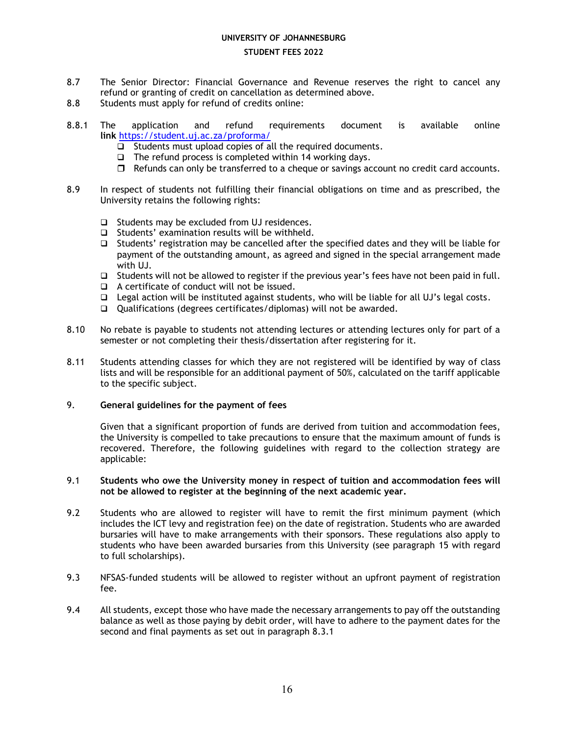### **UNIVERSITY OF JOHANNESBURG**

### **STUDENT FEES 2022**

- 8.7 The Senior Director: Financial Governance and Revenue reserves the right to cancel any refund or granting of credit on cancellation as determined above.
- 8.8 Students must apply for refund of credits online:
- 8.8.1 The application and refund requirements document is available online **link** <https://student.uj.ac.za/proforma/>
	- $\Box$  Students must upload copies of all the required documents.
	- $\Box$  The refund process is completed within 14 working days.
	- $\Box$  Refunds can only be transferred to a cheque or savings account no credit card accounts.
- 8.9 In respect of students not fulfilling their financial obligations on time and as prescribed, the University retains the following rights:
	- $\Box$  Students may be excluded from UJ residences.
	- $\Box$  Students' examination results will be withheld.
	- $\Box$  Students' registration may be cancelled after the specified dates and they will be liable for payment of the outstanding amount, as agreed and signed in the special arrangement made with UJ.
	- $\Box$  Students will not be allowed to register if the previous year's fees have not been paid in full.
	- $\Box$  A certificate of conduct will not be issued.
	- $\Box$  Legal action will be instituted against students, who will be liable for all UJ's legal costs.
	- Qualifications (degrees certificates/diplomas) will not be awarded.
- 8.10 No rebate is payable to students not attending lectures or attending lectures only for part of a semester or not completing their thesis/dissertation after registering for it.
- 8.11 Students attending classes for which they are not registered will be identified by way of class lists and will be responsible for an additional payment of 50%, calculated on the tariff applicable to the specific subject.

### 9. **General guidelines for the payment of fees**

Given that a significant proportion of funds are derived from tuition and accommodation fees, the University is compelled to take precautions to ensure that the maximum amount of funds is recovered. Therefore, the following guidelines with regard to the collection strategy are applicable:

### 9.1 **Students who owe the University money in respect of tuition and accommodation fees will not be allowed to register at the beginning of the next academic year.**

- 9.2 Students who are allowed to register will have to remit the first minimum payment (which includes the ICT levy and registration fee) on the date of registration. Students who are awarded bursaries will have to make arrangements with their sponsors. These regulations also apply to students who have been awarded bursaries from this University (see paragraph 15 with regard to full scholarships).
- 9.3 NFSAS-funded students will be allowed to register without an upfront payment of registration fee.
- 9.4 All students, except those who have made the necessary arrangements to pay off the outstanding balance as well as those paying by debit order, will have to adhere to the payment dates for the second and final payments as set out in paragraph 8.3.1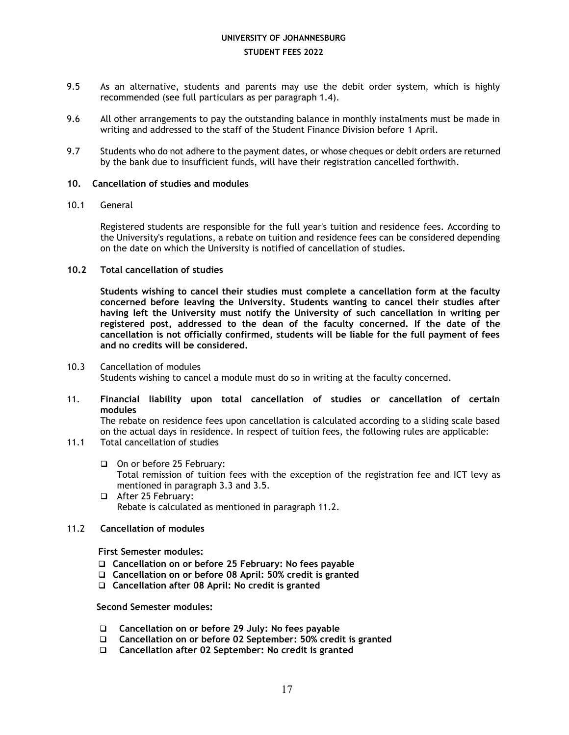- 9.5 As an alternative, students and parents may use the debit order system, which is highly recommended (see full particulars as per paragraph 1.4).
- 9.6 All other arrangements to pay the outstanding balance in monthly instalments must be made in writing and addressed to the staff of the Student Finance Division before 1 April.
- 9.7 Students who do not adhere to the payment dates, or whose cheques or debit orders are returned by the bank due to insufficient funds, will have their registration cancelled forthwith.

### **10. Cancellation of studies and modules**

### 10.1 General

Registered students are responsible for the full year's tuition and residence fees. According to the University's regulations, a rebate on tuition and residence fees can be considered depending on the date on which the University is notified of cancellation of studies.

### **10.2 Total cancellation of studies**

**Students wishing to cancel their studies must complete a cancellation form at the faculty concerned before leaving the University. Students wanting to cancel their studies after having left the University must notify the University of such cancellation in writing per registered post, addressed to the dean of the faculty concerned. If the date of the cancellation is not officially confirmed, students will be liable for the full payment of fees and no credits will be considered.**

- 10.3 Cancellation of modules Students wishing to cancel a module must do so in writing at the faculty concerned.
- 11. **Financial liability upon total cancellation of studies or cancellation of certain modules**

The rebate on residence fees upon cancellation is calculated according to a sliding scale based on the actual days in residence. In respect of tuition fees, the following rules are applicable:

- 11.1 Total cancellation of studies
	- On or before 25 February: Total remission of tuition fees with the exception of the registration fee and ICT levy as mentioned in paragraph 3.3 and 3.5.
	- After 25 February: Rebate is calculated as mentioned in paragraph 11.2.
- 11.2 **Cancellation of modules**

**First Semester modules:**

- **Cancellation on or before 25 February: No fees payable**
- **Cancellation on or before 08 April: 50% credit is granted**
- **Cancellation after 08 April: No credit is granted**

 **Second Semester modules:**

- **Cancellation on or before 29 July: No fees payable**
- **Cancellation on or before 02 September: 50% credit is granted**
- **Cancellation after 02 September: No credit is granted**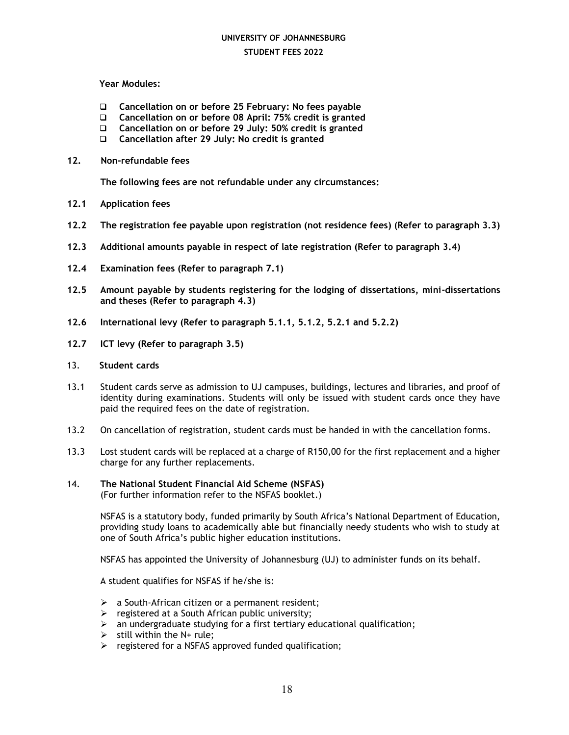## **UNIVERSITY OF JOHANNESBURG**

### **STUDENT FEES 2022**

### **Year Modules:**

- **Cancellation on or before 25 February: No fees payable**
- **Cancellation on or before 08 April: 75% credit is granted**
- **Cancellation on or before 29 July: 50% credit is granted**
- **Cancellation after 29 July: No credit is granted**
- **12. Non-refundable fees**

**The following fees are not refundable under any circumstances:**

- **12.1 Application fees**
- **12.2 The registration fee payable upon registration (not residence fees) (Refer to paragraph 3.3)**
- **12.3 Additional amounts payable in respect of late registration (Refer to paragraph 3.4)**
- **12.4 Examination fees (Refer to paragraph 7.1)**
- **12.5 Amount payable by students registering for the lodging of dissertations, mini-dissertations and theses (Refer to paragraph 4.3)**
- **12.6 International levy (Refer to paragraph 5.1.1, 5.1.2, 5.2.1 and 5.2.2)**
- **12.7 ICT levy (Refer to paragraph 3.5)**
- 13. **Student cards**
- 13.1 Student cards serve as admission to UJ campuses, buildings, lectures and libraries, and proof of identity during examinations. Students will only be issued with student cards once they have paid the required fees on the date of registration.
- 13.2 On cancellation of registration, student cards must be handed in with the cancellation forms.
- 13.3 Lost student cards will be replaced at a charge of R150,00 for the first replacement and a higher charge for any further replacements.
- 14. **The National Student Financial Aid Scheme (NSFAS)** (For further information refer to the NSFAS booklet.)

NSFAS is a statutory body, funded primarily by South Africa's National Department of Education, providing study loans to academically able but financially needy students who wish to study at one of South Africa's public higher education institutions.

NSFAS has appointed the University of Johannesburg (UJ) to administer funds on its behalf.

A student qualifies for NSFAS if he/she is:

- $\triangleright$  a South-African citizen or a permanent resident;
- $\triangleright$  registered at a South African public university;
- $\triangleright$  an undergraduate studying for a first tertiary educational qualification;
- $\triangleright$  still within the N+ rule;
- $\triangleright$  registered for a NSFAS approved funded qualification;